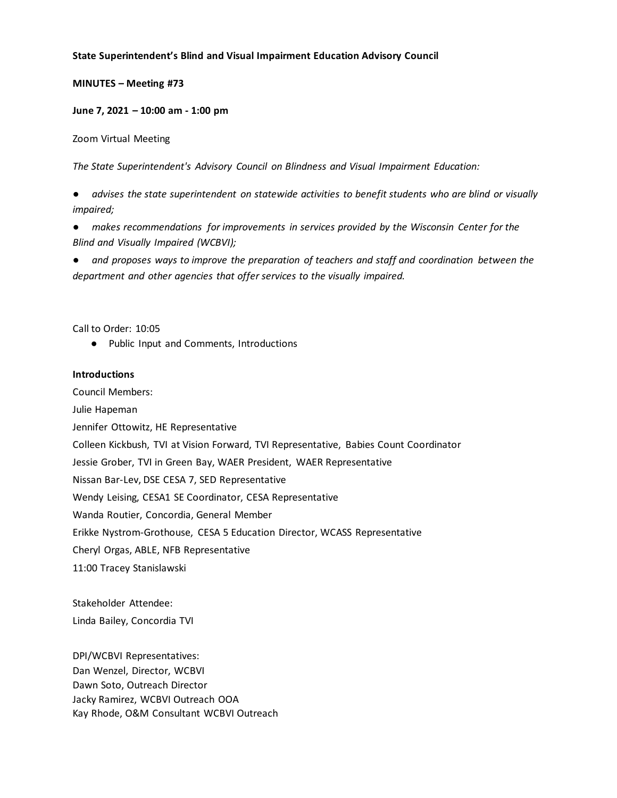#### **State Superintendent's Blind and Visual Impairment Education Advisory Council**

#### **MINUTES – Meeting #73**

#### **June 7, 2021 – 10:00 am - 1:00 pm**

Zoom Virtual Meeting

*The State Superintendent's Advisory Council on Blindness and Visual Impairment Education:*

advises the state superintendent on statewide activities to benefit students who are blind or visually *impaired;*

● *makes recommendations for improvements in services provided by the Wisconsin Center for the Blind and Visually Impaired (WCBVI);*

● *and proposes ways to improve the preparation of teachers and staff and coordination between the department and other agencies that offer services to the visually impaired.*

Call to Order: 10:05

● Public Input and Comments, Introductions

#### **Introductions**

Council Members: Julie Hapeman Jennifer Ottowitz, HE Representative Colleen Kickbush, TVI at Vision Forward, TVI Representative, Babies Count Coordinator Jessie Grober, TVI in Green Bay, WAER President, WAER Representative Nissan Bar-Lev, DSE CESA 7, SED Representative Wendy Leising, CESA1 SE Coordinator, CESA Representative Wanda Routier, Concordia, General Member Erikke Nystrom-Grothouse, CESA 5 Education Director, WCASS Representative Cheryl Orgas, ABLE, NFB Representative 11:00 Tracey Stanislawski

Stakeholder Attendee: Linda Bailey, Concordia TVI

DPI/WCBVI Representatives: Dan Wenzel, Director, WCBVI Dawn Soto, Outreach Director Jacky Ramirez, WCBVI Outreach OOA Kay Rhode, O&M Consultant WCBVI Outreach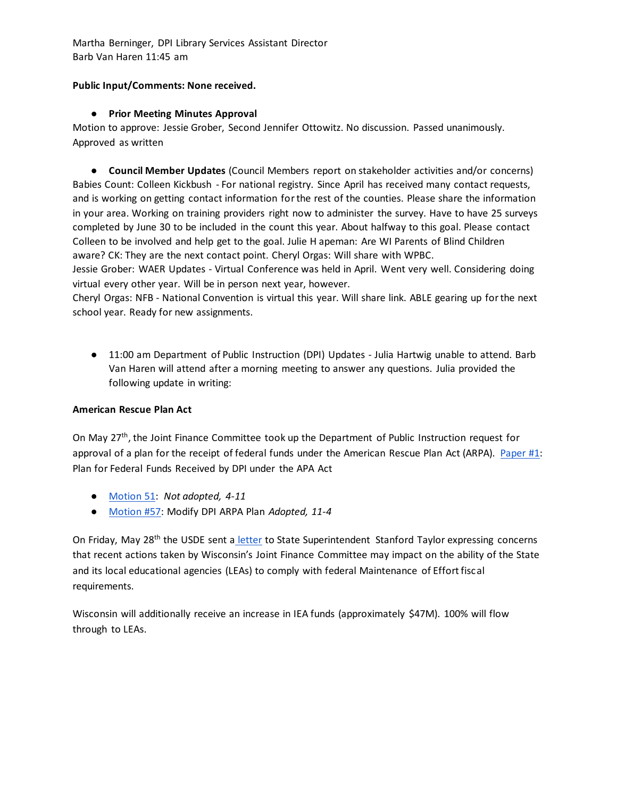Martha Berninger, DPI Library Services Assistant Director Barb Van Haren 11:45 am

## **Public Input/Comments: None received.**

## ● **Prior Meeting Minutes Approval**

Motion to approve: Jessie Grober, Second Jennifer Ottowitz. No discussion. Passed unanimously. Approved as written

● **Council Member Updates** (Council Members report on stakeholder activities and/or concerns) Babies Count: Colleen Kickbush - For national registry. Since April has received many contact requests, and is working on getting contact information for the rest of the counties. Please share the information in your area. Working on training providers right now to administer the survey. Have to have 25 surveys completed by June 30 to be included in the count this year. About halfway to this goal. Please contact Colleen to be involved and help get to the goal. Julie H apeman: Are WI Parents of Blind Children aware? CK: They are the next contact point. Cheryl Orgas: Will share with WPBC.

Jessie Grober: WAER Updates - Virtual Conference was held in April. Went very well. Considering doing virtual every other year. Will be in person next year, however.

Cheryl Orgas: NFB - National Convention is virtual this year. Will share link. ABLE gearing up for the next school year. Ready for new assignments.

● 11:00 am Department of Public Instruction (DPI) Updates - Julia Hartwig unable to attend. Barb Van Haren will attend after a morning meeting to answer any questions. Julia provided the following update in writing:

## **American Rescue Plan Act**

On May 27<sup>th</sup>, the Joint Finance Committee took up the Department of Public Instruction request for approval of a plan for the receipt of federal funds under the American Rescue Plan Act (ARPA). [Paper #1:](https://nam04.safelinks.protection.outlook.com/?url=https%3A%2F%2Fdocs.legis.wisconsin.gov%2Fmisc%2Flfb%2Fsection_13_10%2F2021_05_27_plan_for_federal_funds_received_by_dpi_under_the_arpa_act&data=04%7C01%7CGrant.Huber%40dpi.wi.gov%7Ccaa75dce1fa14cc9e99a08d9215a17bb%7C1654d14032604903b5b718450051ce16%7C1%7C1%7C637577493129212702%7CUnknown%7CTWFpbGZsb3d8eyJWIjoiMC4wLjAwMDAiLCJQIjoiV2luMzIiLCJBTiI6Ik1haWwiLCJXVCI6Mn0%3D%7C2000&sdata=mN7XOKAQHvLEXeDZu6QV5p1Hf3Eu80Yb%2FEk3fT3unUI%3D&reserved=0) Plan for Federal Funds Received by DPI under the APA Act

- [Motion 51:](http://www.wheelerbilltracking.com/upload/files/motions/motion51-compressed.pdf) *Not adopted, 4-11*
- [Motion #57:](http://www.wheelerbilltracking.com/upload/files/motions/mtn59.pdf) Modify DPI ARPA Plan *Adopted, 11-4*

On Friday, May 28<sup>th</sup> the USDE sent a [letter](http://www.thewheelerreport.com/wheeler_docs/files/060121usdoe.pdf) to State Superintendent Stanford Taylor expressing concerns that recent actions taken by Wisconsin's Joint Finance Committee may impact on the ability of the State and its local educational agencies (LEAs) to comply with federal Maintenance of Effort fiscal requirements.

Wisconsin will additionally receive an increase in IEA funds (approximately \$47M). 100% will flow through to LEAs.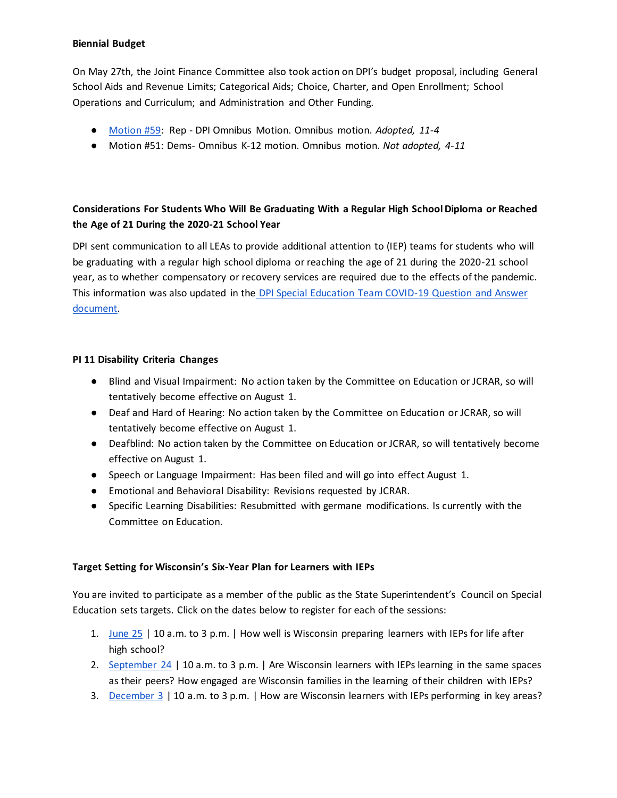## **Biennial Budget**

On May 27th, the Joint Finance Committee also took action on DPI's budget proposal, including General School Aids and Revenue Limits; Categorical Aids; Choice, Charter, and Open Enrollment; School Operations and Curriculum; and Administration and Other Funding.

- [Motion #59:](http://www.wheelerbilltracking.com/upload/files/motions/mtn59.pdf) Rep DPI Omnibus Motion. Omnibus motion. *Adopted, 11-4*
- Motion #51: Dems- Omnibus K-12 motion. Omnibus motion. *Not adopted, 4-11*

# **Considerations For Students Who Will Be Graduating With a Regular High School Diploma or Reached the Age of 21 During the 2020-21 School Year**

DPI sent communication to all LEAs to provide additional attention to (IEP) teams for students who will be graduating with a regular high school diploma or reaching the age of 21 during the 2020-21 school year, as to whether compensatory or recovery services are required due to the effects of the pandemic. This information was also updated in the [DPI Special Education Team COVID-19](https://dpi.wi.gov/sites/default/files/imce/sped/pdf/Extended_School_Closure_due_to_COVID.pdf) Question and Answer [document.](https://dpi.wi.gov/sites/default/files/imce/sped/pdf/Extended_School_Closure_due_to_COVID.pdf)

#### **PI 11 Disability Criteria Changes**

- Blind and Visual Impairment: No action taken by the Committee on Education or JCRAR, so will tentatively become effective on August 1.
- Deaf and Hard of Hearing: No action taken by the Committee on Education or JCRAR, so will tentatively become effective on August 1.
- Deafblind: No action taken by the Committee on Education or JCRAR, so will tentatively become effective on August 1.
- Speech or Language Impairment: Has been filed and will go into effect August 1.
- Emotional and Behavioral Disability: Revisions requested by JCRAR.
- Specific Learning Disabilities: Resubmitted with germane modifications. Is currently with the Committee on Education.

## **Target Setting for Wisconsin's Six-Year Plan for Learners with IEPs**

You are invited to participate as a member of the public as the State Superintendent's Council on Special Education sets targets. Click on the dates below to register for each of the sessions:

- 1. June  $25$  | 10 a.m. to 3 p.m. | How well is Wisconsin preparing learners with IEPs for life after high school?
- 2. [September 24](https://zoom.us/meeting/register/tJUvf-mqqTgqGteJ5U46SSl3hNZibGdeJ22h) | 10 a.m. to 3 p.m. | Are Wisconsin learners with IEPs learning in the same spaces as their peers? How engaged are Wisconsin families in the learning of their children with IEPs?
- 3. [December 3](https://zoom.us/meeting/register/tJ0uduyhpjkpHtAO5Z2x_6vzqyOwe74BWo2Y) | 10 a.m. to 3 p.m. | How are Wisconsin learners with IEPs performing in key areas?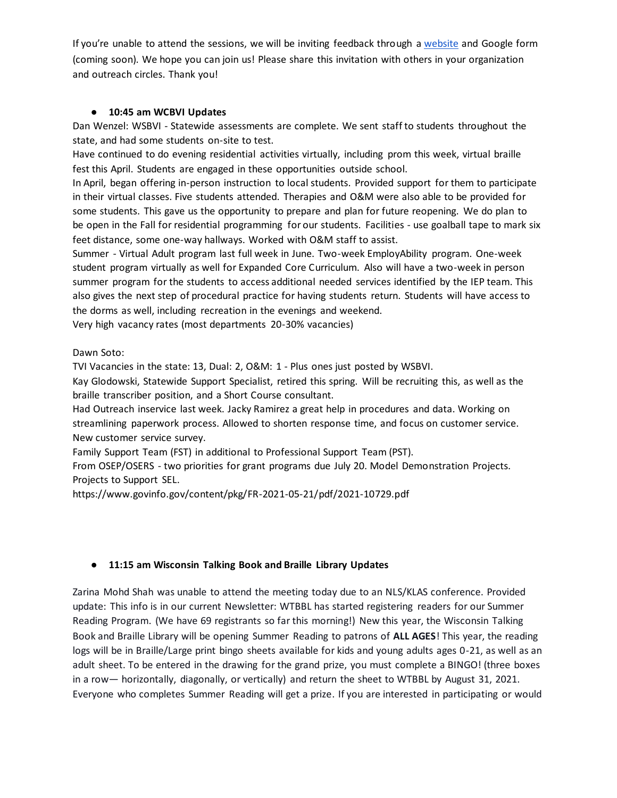If you're unable to attend the sessions, we will be inviting feedback through [a](https://dpi.wi.gov/sped/spp-target-setting) [website](https://dpi.wi.gov/sped/spp-target-setting) and Google form (coming soon). We hope you can join us! Please share this invitation with others in your organization and outreach circles. Thank you!

## ● **10:45 am WCBVI Updates**

Dan Wenzel: WSBVI - Statewide assessments are complete. We sent staff to students throughout the state, and had some students on-site to test.

Have continued to do evening residential activities virtually, including prom this week, virtual braille fest this April. Students are engaged in these opportunities outside school.

In April, began offering in-person instruction to local students. Provided support for them to participate in their virtual classes. Five students attended. Therapies and O&M were also able to be provided for some students. This gave us the opportunity to prepare and plan for future reopening. We do plan to be open in the Fall for residential programming for our students. Facilities - use goalball tape to mark six feet distance, some one-way hallways. Worked with O&M staff to assist.

Summer - Virtual Adult program last full week in June. Two-week EmployAbility program. One-week student program virtually as well for Expanded Core Curriculum. Also will have a two-week in person summer program for the students to access additional needed services identified by the IEP team. This also gives the next step of procedural practice for having students return. Students will have access to the dorms as well, including recreation in the evenings and weekend.

Very high vacancy rates (most departments 20-30% vacancies)

#### Dawn Soto:

TVI Vacancies in the state: 13, Dual: 2, O&M: 1 - Plus ones just posted by WSBVI.

Kay Glodowski, Statewide Support Specialist, retired this spring. Will be recruiting this, as well as the braille transcriber position, and a Short Course consultant.

Had Outreach inservice last week. Jacky Ramirez a great help in procedures and data. Working on streamlining paperwork process. Allowed to shorten response time, and focus on customer service. New customer service survey.

Family Support Team (FST) in additional to Professional Support Team (PST).

From OSEP/OSERS - two priorities for grant programs due July 20. Model Demonstration Projects. Projects to Support SEL.

https://www.govinfo.gov/content/pkg/FR-2021-05-21/pdf/2021-10729.pdf

## ● **11:15 am Wisconsin Talking Book and Braille Library Updates**

Zarina Mohd Shah was unable to attend the meeting today due to an NLS/KLAS conference. Provided update: This info is in our current Newsletter: WTBBL has started registering readers for our Summer Reading Program. (We have 69 registrants so far this morning!) New this year, the Wisconsin Talking Book and Braille Library will be opening Summer Reading to patrons of **ALL AGES**! This year, the reading logs will be in Braille/Large print bingo sheets available for kids and young adults ages 0-21, as well as an adult sheet. To be entered in the drawing for the grand prize, you must complete a BINGO! (three boxes in a row— horizontally, diagonally, or vertically) and return the sheet to WTBBL by August 31, 2021. Everyone who completes Summer Reading will get a prize. If you are interested in participating or would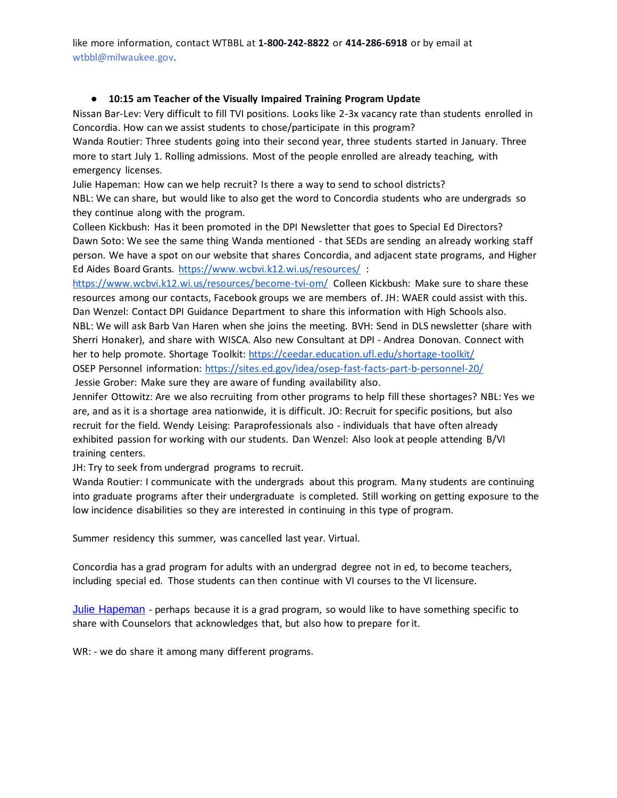like more information, contact WTBBL at **1-800-242-8822** or **414-286-6918** or by email at wtbbl@milwaukee.gov.

## ● **10:15 am Teacher of the Visually Impaired Training Program Update**

Nissan Bar-Lev: Very difficult to fill TVI positions. Looks like 2-3x vacancy rate than students enrolled in Concordia. How can we assist students to chose/participate in this program?

Wanda Routier: Three students going into their second year, three students started in January. Three more to start July 1. Rolling admissions. Most of the people enrolled are already teaching, with emergency licenses.

Julie Hapeman: How can we help recruit? Is there a way to send to school districts?

NBL: We can share, but would like to also get the word to Concordia students who are undergrads so they continue along with the program.

Colleen Kickbush: Has it been promoted in the DPI Newsletter that goes to Special Ed Directors? Dawn Soto: We see the same thing Wanda mentioned - that SEDs are sending an already working staff person. We have a spot on our website that shares Concordia, and adjacent state programs, and Higher Ed Aides Board Grants.<https://www.wcbvi.k12.wi.us/resources/> :

<https://www.wcbvi.k12.wi.us/resources/become-tvi-om/> Colleen Kickbush: Make sure to share these resources among our contacts, Facebook groups we are members of. JH: WAER could assist with this. Dan Wenzel: Contact DPI Guidance Department to share this information with High Schools also. NBL: We will ask Barb Van Haren when she joins the meeting. BVH: Send in DLS newsletter (share with Sherri Honaker), and share with WISCA. Also new Consultant at DPI - Andrea Donovan. Connect with her to help promote. Shortage Toolkit[: https://ceedar.education.ufl.edu/shortage-toolkit/](https://ceedar.education.ufl.edu/shortage-toolkit/) OSEP Personnel information: <https://sites.ed.gov/idea/osep-fast-facts-part-b-personnel-20/> Jessie Grober: Make sure they are aware of funding availability also.

Jennifer Ottowitz: Are we also recruiting from other programs to help fill these shortages? NBL: Yes we are, and as it is a shortage area nationwide, it is difficult. JO: Recruit for specific positions, but also recruit for the field. Wendy Leising: Paraprofessionals also - individuals that have often already exhibited passion for working with our students. Dan Wenzel: Also look at people attending B/VI training centers.

JH: Try to seek from undergrad programs to recruit.

Wanda Routier: I communicate with the undergrads about this program. Many students are continuing into graduate programs after their undergraduate is completed. Still working on getting exposure to the low incidence disabilities so they are interested in continuing in this type of program.

Summer residency this summer, was cancelled last year. Virtual.

Concordia has a grad program for adults with an undergrad degree not in ed, to become teachers, including special ed. Those students can then continue with VI courses to the VI licensure.

[Julie Hapeman](mailto:hapemajl@milwaukee.k12.wi.us) - perhaps because it is a grad program, so would like to have something specific to share with Counselors that acknowledges that, but also how to prepare for it.

WR: - we do share it among many different programs.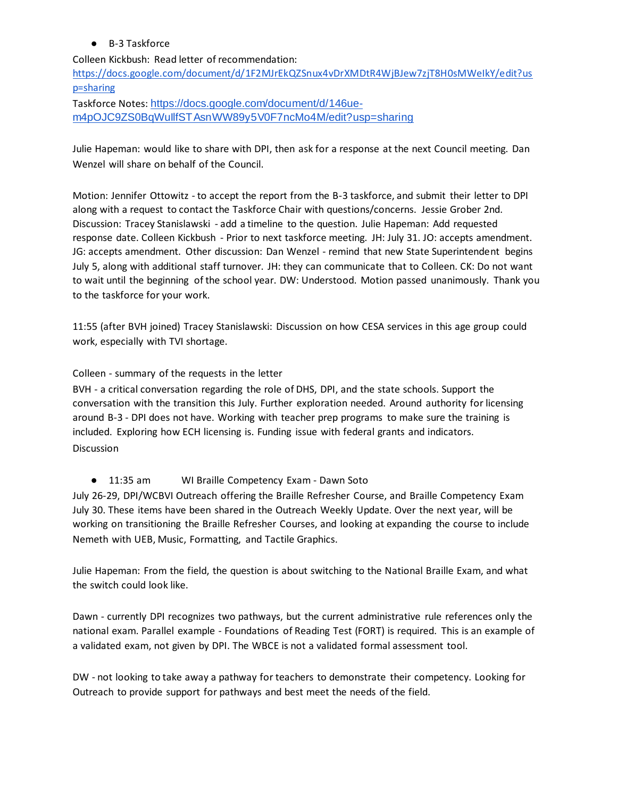## ● B-3 Taskforce

Colleen Kickbush: Read letter of recommendation: [https://docs.google.com/document/d/1F2MJrEkQZSnux4vDrXMDtR4WjBJew7zjT8H0sMWeIkY/edit?us](https://docs.google.com/document/d/1F2MJrEkQZSnux4vDrXMDtR4WjBJew7zjT8H0sMWeIkY/edit?usp=sharing) [p=sharing](https://docs.google.com/document/d/1F2MJrEkQZSnux4vDrXMDtR4WjBJew7zjT8H0sMWeIkY/edit?usp=sharing) Taskforce Notes: [https://docs.google.com/document/d/146ue-](https://nam10.safelinks.protection.outlook.com/?url=https%3A%2F%2Fdocs.google.com%2Fdocument%2Fd%2F146ue-m4pOJC9ZS0BqWuIlfSTAsnWW89y5V0F7ncMo4M%2Fedit%3Fusp%3Dsharing&data=04%7C01%7Camanda.jordan%40wcbvi.k12.wi.us%7C13ed466d44af4524394008d929b110fc%7C99feb2c4c40a4932afb5dfa68122d56f%7C1%7C0%7C637586663673477413%7CUnknown%7CTWFpbGZsb3d8eyJWIjoiMC4wLjAwMDAiLCJQIjoiV2luMzIiLCJBTiI6Ik1haWwiLCJXVCI6Mn0%3D%7C1000&sdata=Cjv%2FPd8uTsIQzrIddEysUv%2BS7o9J9zqkRFw7Gnbykgw%3D&reserved=0)

[m4pOJC9ZS0BqWuIlfSTAsnWW89y5V0F7ncMo4M/edit?usp=sharing](https://nam10.safelinks.protection.outlook.com/?url=https%3A%2F%2Fdocs.google.com%2Fdocument%2Fd%2F146ue-m4pOJC9ZS0BqWuIlfSTAsnWW89y5V0F7ncMo4M%2Fedit%3Fusp%3Dsharing&data=04%7C01%7Camanda.jordan%40wcbvi.k12.wi.us%7C13ed466d44af4524394008d929b110fc%7C99feb2c4c40a4932afb5dfa68122d56f%7C1%7C0%7C637586663673477413%7CUnknown%7CTWFpbGZsb3d8eyJWIjoiMC4wLjAwMDAiLCJQIjoiV2luMzIiLCJBTiI6Ik1haWwiLCJXVCI6Mn0%3D%7C1000&sdata=Cjv%2FPd8uTsIQzrIddEysUv%2BS7o9J9zqkRFw7Gnbykgw%3D&reserved=0)

Julie Hapeman: would like to share with DPI, then ask for a response at the next Council meeting. Dan Wenzel will share on behalf of the Council.

Motion: Jennifer Ottowitz - to accept the report from the B-3 taskforce, and submit their letter to DPI along with a request to contact the Taskforce Chair with questions/concerns. Jessie Grober 2nd. Discussion: Tracey Stanislawski - add a timeline to the question. Julie Hapeman: Add requested response date. Colleen Kickbush - Prior to next taskforce meeting. JH: July 31. JO: accepts amendment. JG: accepts amendment. Other discussion: Dan Wenzel - remind that new State Superintendent begins July 5, along with additional staff turnover. JH: they can communicate that to Colleen. CK: Do not want to wait until the beginning of the school year. DW: Understood. Motion passed unanimously. Thank you to the taskforce for your work.

11:55 (after BVH joined) Tracey Stanislawski: Discussion on how CESA services in this age group could work, especially with TVI shortage.

Colleen - summary of the requests in the letter

BVH - a critical conversation regarding the role of DHS, DPI, and the state schools. Support the conversation with the transition this July. Further exploration needed. Around authority for licensing around B-3 - DPI does not have. Working with teacher prep programs to make sure the training is included. Exploring how ECH licensing is. Funding issue with federal grants and indicators. Discussion

● 11:35 am WI Braille Competency Exam - Dawn Soto

July 26-29, DPI/WCBVI Outreach offering the Braille Refresher Course, and Braille Competency Exam July 30. These items have been shared in the Outreach Weekly Update. Over the next year, will be working on transitioning the Braille Refresher Courses, and looking at expanding the course to include Nemeth with UEB, Music, Formatting, and Tactile Graphics.

Julie Hapeman: From the field, the question is about switching to the National Braille Exam, and what the switch could look like.

Dawn - currently DPI recognizes two pathways, but the current administrative rule references only the national exam. Parallel example - Foundations of Reading Test (FORT) is required. This is an example of a validated exam, not given by DPI. The WBCE is not a validated formal assessment tool.

DW - not looking to take away a pathway for teachers to demonstrate their competency. Looking for Outreach to provide support for pathways and best meet the needs of the field.